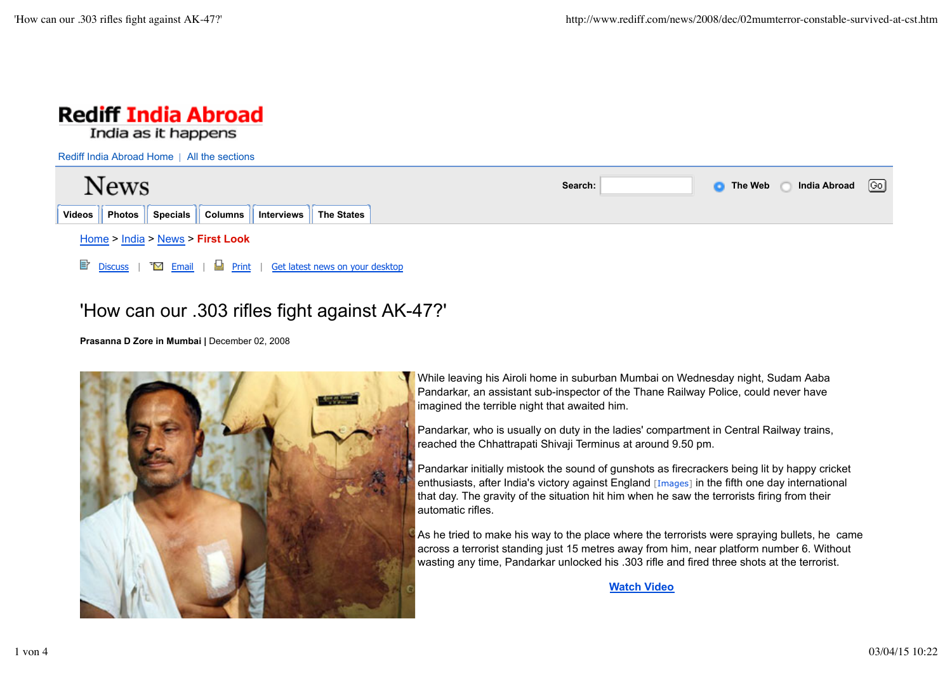

## 'How can our .303 rifles fight against AK-47?'

**Prasanna D Zore in Mumbai |** December 02, 2008



While leaving his Airoli home in suburban Mumbai on Wednesday night, Sudam Aaba Pandarkar, an assistant sub-inspector of the Thane Railway Police, could never have imagined the terrible night that awaited him.

Pandarkar, who is usually on duty in the ladies' compartment in Central Railway trains, reached the Chhattrapati Shivaji Terminus at around 9.50 pm.

Pandarkar initially mistook the sound of gunshots as firecrackers being lit by happy cricket enthusiasts, after India's victory against England [Images] in the fifth one day international that day. The gravity of the situation hit him when he saw the terrorists firing from their automatic rifles.

As he tried to make his way to the place where the terrorists were spraying bullets, he came across a terrorist standing just 15 metres away from him, near platform number 6. Without wasting any time, Pandarkar unlocked his .303 rifle and fired three shots at the terrorist.

**Watch Video**